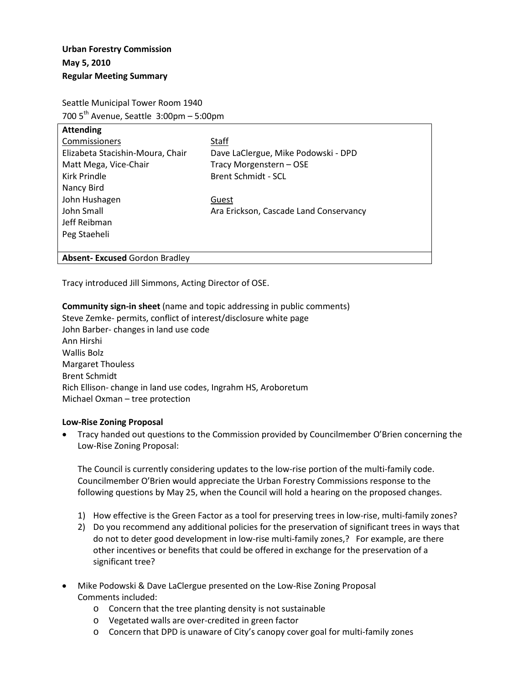Seattle Municipal Tower Room 1940 700  $5<sup>th</sup>$  Avenue, Seattle 3:00pm – 5:00pm

| <b>Attending</b>                      |                                        |
|---------------------------------------|----------------------------------------|
| Commissioners                         | Staff                                  |
| Elizabeta Stacishin-Moura, Chair      | Dave LaClergue, Mike Podowski - DPD    |
| Matt Mega, Vice-Chair                 | Tracy Morgenstern - OSE                |
| Kirk Prindle                          | <b>Brent Schmidt - SCL</b>             |
| Nancy Bird                            |                                        |
| John Hushagen                         | Guest                                  |
| John Small                            | Ara Erickson, Cascade Land Conservancy |
| Jeff Reibman                          |                                        |
| Peg Staeheli                          |                                        |
|                                       |                                        |
| <b>Absent- Excused Gordon Bradley</b> |                                        |

Tracy introduced Jill Simmons, Acting Director of OSE.

### **Community sign-in sheet** (name and topic addressing in public comments)

Steve Zemke- permits, conflict of interest/disclosure white page John Barber- changes in land use code Ann Hirshi Wallis Bolz Margaret Thouless Brent Schmidt Rich Ellison- change in land use codes, Ingrahm HS, Aroboretum Michael Oxman – tree protection

#### **Low-Rise Zoning Proposal**

• Tracy handed out questions to the Commission provided by Councilmember O'Brien concerning the Low-Rise Zoning Proposal:

The Council is currently considering updates to the low-rise portion of the multi-family code. Councilmember O'Brien would appreciate the Urban Forestry Commissions response to the following questions by May 25, when the Council will hold a hearing on the proposed changes.

- 1) How effective is the Green Factor as a tool for preserving trees in low-rise, multi-family zones?
- 2) Do you recommend any additional policies for the preservation of significant trees in ways that do not to deter good development in low-rise multi-family zones,? For example, are there other incentives or benefits that could be offered in exchange for the preservation of a significant tree?
- Mike Podowski & Dave LaClergue presented on the Low-Rise Zoning Proposal Comments included:
	- o Concern that the tree planting density is not sustainable
	- o Vegetated walls are over-credited in green factor
	- o Concern that DPD is unaware of City's canopy cover goal for multi-family zones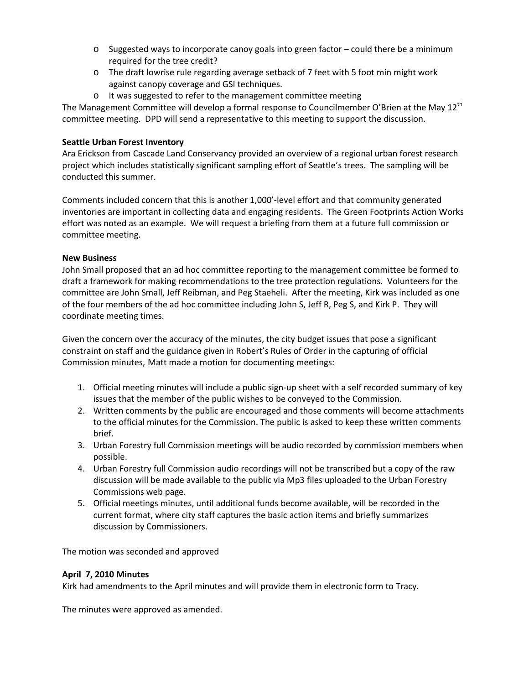- $\circ$  Suggested ways to incorporate canoy goals into green factor could there be a minimum required for the tree credit?
- o The draft lowrise rule regarding average setback of 7 feet with 5 foot min might work against canopy coverage and GSI techniques.
- o It was suggested to refer to the management committee meeting

The Management Committee will develop a formal response to Councilmember O'Brien at the May 12<sup>th</sup> committee meeting. DPD will send a representative to this meeting to support the discussion.

# **Seattle Urban Forest Inventory**

Ara Erickson from Cascade Land Conservancy provided an overview of a regional urban forest research project which includes statistically significant sampling effort of Seattle's trees. The sampling will be conducted this summer.

Comments included concern that this is another 1,000'-level effort and that community generated inventories are important in collecting data and engaging residents. The Green Footprints Action Works effort was noted as an example. We will request a briefing from them at a future full commission or committee meeting.

## **New Business**

John Small proposed that an ad hoc committee reporting to the management committee be formed to draft a framework for making recommendations to the tree protection regulations. Volunteers for the committee are John Small, Jeff Reibman, and Peg Staeheli. After the meeting, Kirk was included as one of the four members of the ad hoc committee including John S, Jeff R, Peg S, and Kirk P. They will coordinate meeting times.

Given the concern over the accuracy of the minutes, the city budget issues that pose a significant constraint on staff and the guidance given in Robert's Rules of Order in the capturing of official Commission minutes, Matt made a motion for documenting meetings:

- 1. Official meeting minutes will include a public sign-up sheet with a self recorded summary of key issues that the member of the public wishes to be conveyed to the Commission.
- 2. Written comments by the public are encouraged and those comments will become attachments to the official minutes for the Commission. The public is asked to keep these written comments brief.
- 3. Urban Forestry full Commission meetings will be audio recorded by commission members when possible.
- 4. Urban Forestry full Commission audio recordings will not be transcribed but a copy of the raw discussion will be made available to the public via Mp3 files uploaded to the Urban Forestry Commissions web page.
- 5. Official meetings minutes, until additional funds become available, will be recorded in the current format, where city staff captures the basic action items and briefly summarizes discussion by Commissioners.

The motion was seconded and approved

## **April 7, 2010 Minutes**

Kirk had amendments to the April minutes and will provide them in electronic form to Tracy.

The minutes were approved as amended.